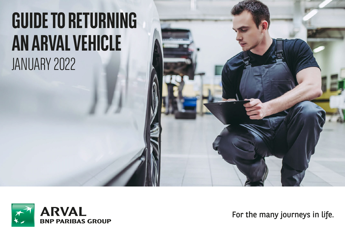# **GUIDE TO RETURNING AN ARVAL VEHICLE** JANUARY 2022



For the many journeys in life.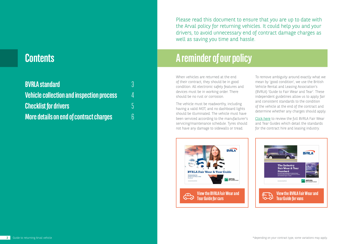### **Contents**

| <b>BVRLA standard</b>                            | R |
|--------------------------------------------------|---|
| <b>Vehicle collection and inspection process</b> | Δ |
| <b>Checklist for drivers</b>                     | 5 |
| <b>More details on end of contract charges</b>   | ĥ |

Please read this document to ensure that you are up to date with the Arval policy for returning vehicles. It could help you and your drivers, to avoid unnecessary end of contract damage charges as well as saving you time and hassle.

### **A reminder of our policy**

When vehicles are returned at the end of their contract, they should be in good condition. All electronic safety features and devices must be in working order. There should be no rust or corrosion.

The vehicle must be roadworthy, including having a valid MOT, and no dashboard lights should be illuminated. The vehicle must have been serviced according to the manufacturer's servicing/maintenance schedule. Tyres should not have any damage to sidewalls or tread.

To remove ambiguity around exactly what we mean by 'good condition', we use the British Vehicle Rental and Leasing Association's (BVRLA) 'Guide to Fair Wear and Tear'. These independent guidelines allow us to apply fair and consistent standards to the condition of the vehicle at the end of the contract and determine whether any charges should apply.

[Click here t](https://www.arval.co.uk/drivers-information/BVRLA%20Guidelines)o review the full BVRLA Fair Wear and Tear Guides which detail the standards for the contract hire and leasing industry.



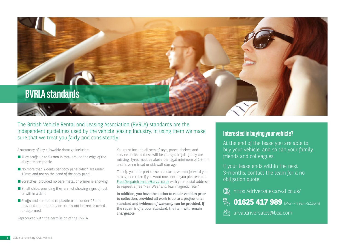

The British Vehicle Rental and Leasing Association (BVRLA) standards are the independent guidelines used by the vehicle leasing industry. In using them we make sure that we treat you fairly and consistently.

A summary of key allowable damage includes:

- Alloy scuffs up to 50 mm in total around the edge of the alloy are acceptable.
- No more than 2 dents per body panel which are under 15mm and not on the bend of the body panel
- Scratches, provided no bare metal or primer is showing
- Small chips, providing they are not showing signs of rust or within a dent
- Scuffs and scratches to plastic trims under 25mm provided the moulding or trim is not broken, cracked or deformed.

Reproduced with the permission of the BVRLA.

You must include all sets of keys, parcel shelves and service books as these will be charged in full if they are missing. Tyres must be above the legal minimum of 1.6mm and have no tread or sidewall damage.

To help you interpret these standards, we can forward you a magnetic ruler. If you want one sent to you please email FleetDespatch.centre@arval.co.uk with your postal address to request a free "Fair Wear and Tear magnetic ruler".

In addition, you have the option to repair vehicles prior to collection, provided all work is up to a professional standard and evidence of warranty can be provided. If the repair is of a poor standard, the item will remain chargeable.

### **Interested in buying your vehicle?**

At the end of the lease you are able to buy your vehicle, and so can your family, friends and colleagues.

If your lease ends within the next 3-months, contact the team for a no obligation quote:

₩ https://driversales.arval.co.uk/

**01625 417 989** (Mon-Fri 9am-5:15pm)

arvaldriversales@bca.com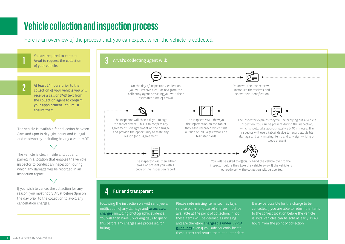### **Vehicle collection and inspection process**

Here is an overview of the process that you can expect when the vehicle is collected.



these items and return them at a later date.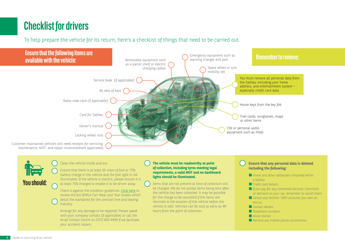## **Checklist for drivers**

To help prepare the vehicle for its return, here's a checklist of things that need to be carried out.





Clean the vehicle inside and out.

Ensure that there is at least 50 miles of fuel or 75% battery charge in the vehicle and the fuel light is not illuminated. If the vehicle is electric, please ensure it is at least 75% charged to enable it to be driven away.

Check it against the condition guidelines[. Click here to](https://www.arval.co.uk/drivers-information/BVRLA%20Guidelines) review the full BVRLA Fair Wear and Tear Guides which detail the standards for the contract hire and leasing industry.

Arrange for any damage to be repaired. Please speak with your company contact (if applicable) or call the Arval Contact Centre on 0370 600 4499 if we facilitate your accident repairs.

#### **The vehicle must be roadworthy at point of collection, including tyres meeting legal requirements, a valid MOT and no dashboard lights should be illuminated.**

Items that are not present at time of collection will be charged. We do not accept items being sent after the vehicle has been collected. It may be possible for the charge to be cancelled if the items are returned to the location of the vehicle before the vehicle is sold. Vehicles can be sold as early as 48 hours from the point of collection.

#### **Ensure that any personal data is deleted including the following:**

- Home and other addresses contained within a SatNav
- Credit card details
- $\blacksquare$  If you pay for any connected services / functions on demand on your car, remember to cancel them
- Cancel any Airtime / WIFI accounts you own on the car
- Contact details
- Telephone numbers.
- Music stored
- **E** Remove any mobile phone connections.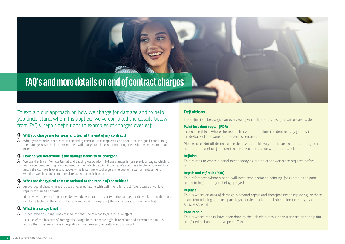### <span id="page-5-0"></span>**FAQ's and more details on end of contract charges**

To explain our approach on how we charge for damage and to help you understand when it is applied, we've compiled the details below from FAQ's, repair definitions to examples of charges overleaf.

#### **Will you charge me for wear and tear at the end of my contract? Q.**

 ${\sf A}$ . When your vehicle is returned at the end of contract, it is inspected and should be in a good condition. If the damage is worse than expected we will charge for the cost of repairing it whether we chose to repair it or not.

#### **How do you determine if the damage needs to be charged? Q.**

 ${\sf A}$ . We use the British Vehicle Rental and Leasing Association (BVRLA) standards (see previous page), which is an independent set of guidelines used by the vehicle leasing industry. We use these to check your vehicle and if the damage is over and above what is fair we will charge at the cost of repair or replacement whether we chose for commercial reasons to repair it or not...

#### **What are the typical costs associated to the repair of the vehicle? Q.**

 ${\sf A}$ . An average of these charges is set out overleaf along with definitions for the different types of vehicle repairs explained opposite.

Identifying the type of repair needed will depend on the severity of the damage to the vehicle and therefore will be reflected in the cost of the relevant repair. Examples of these charges are shown overleaf.

#### **What is a swage Line? Q.**

 ${\sf A}$  . Folded edge on a panel line creased into the side of a car to give it visual effect.

Because of the location of damage the swage lines are more difficult to repair and as result the BVRLA advise that they are always chargeable when damaged, regardless of the severity.

#### **Definitions**

The definitions below give an overview of what different types of repair are available.

#### **Paint less dent repair (PDR)**

In essence this is where the technician will manipulate the dent usually from within the inside/back of the panel so the dent is removed.

Please note: Not all dents can be dealt with in this way due to access to the dent from behind the panel or if the dent is across/near a crease within the panel.

#### **Refinish**

This relates to where a panel needs spraying but no other works are required before painting.

#### **Repair and refinish (RDR)**

This references where a panel will need repair prior to painting, for example the panel needs to be filled before being sprayed.

#### **Replace**

This is where an area of damage is beyond repair and therefore needs replacing, or there is an item missing such as spare keys, service book, parcel shelf, electric charging cable or SatNav SD card.

#### **Poor repair**

This is where repairs have been done to the vehicle but to a poor standard and the paint has faded or has an orange peel effect.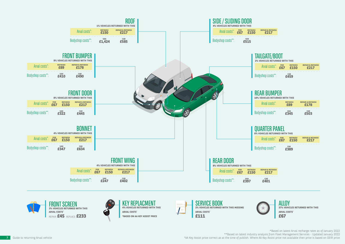





SERVICE BOOK **2% VEHICLES RETURNED WITH THIS MISSING ARVAL COSTS\* £111**